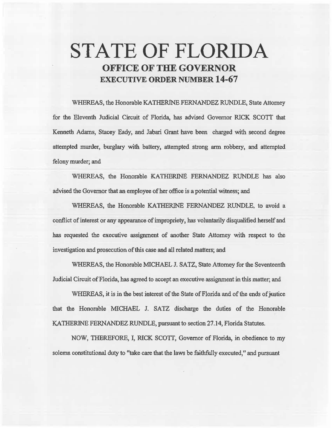# STATE OF FLORIDA **OFFICE OF THE GOVERNOR**  EXECUTIVE **ORDER** NUMBER **14-67**

WHEREAS; the Honorable KATHERINE FERNANDEZ RUNDLE, State Attorney for the Eleventh Judicial Circuit of Florida, has advised Governor RICK SCOTI that Kenneth Adams, Stacey Eady, and Jabari Grant have been charged with second degree attempted murder, burglary with battery, attempted strong arm robbery, and attempted felony murder; and

WHEREAS, the Honorable KATHERINE FERNANDEZ RUNDLE has also advised the Governor that an employee of her office is a potential witness; and

WHEREAS, the Honorable KATHERINE FERNANDEZ RUNDLE, to avoid a conflict of interest or any appearance of impropriety, has voluntarily disqualified herself and has requested the executive assignment of another State Attorney with respect to the investigation and prosecution of this case and all related matters; and

WHEREAS, the Honorable MICHAEL J. SATZ, State Attorney for the Seventeenth Judicial Circuit of Florida, has agreed to accept an executive assignment in this matter; and

WHEREAS, it is in the best interest of the State of Florida and of the ends of justice that the Honorable MICHAEL J. SATZ discharge the duties of the Honorable KATHERINE FERNANDEZ RUNDLE, pursuant to section 27.14, Florida Statutes.

NOW, THEREFORE, I, RICK *SCOTT,* Governor of Florida, in obedience to my solemn constitutional duty to "take care that the laws be faithfully executed," and pursuant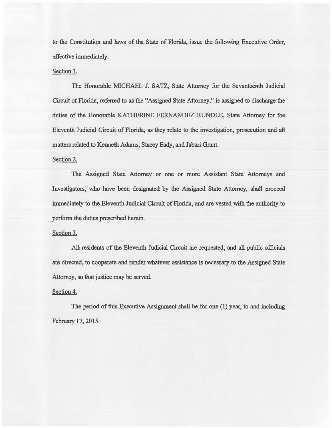to the Constitution and laws of the State of Florida, issue the following Executive Order, effective immediately:

#### Section 1.

The Honorable MICHAEL J. SATZ, State Attorney for the Seventeenth Judicial Circuit of Florida, referred to *as* the "Assigned State Attorney," is assigned to discharge the duties of the Honorable KATHERINE FERNANDEZ RUNDLE, State Attorney for the Eleventh Judicial Circuit of Florida, *as* they relate to the investigation, prosecution and a)l matters related to Kenneth Adams, Stacey Eady, and Jabari Grant.

## Section 2.

The Assigned State Attorney or one or more Assistant State Attorneys and Investigators, who have been designated by the Assigned State Attorney, shall proceed immediately to the Eleventh Judicial Circuit of Florida, and are vested with the authority to perform the duties prescribed herein.

## Section 3.

All residents of the Eleventh Judicial Circuit are requested, and all public officials are directed, to cooperate and render whatever assistance is necessary to the Assigned State Attorney, so that justice may be served.

#### Section 4.

The period of this Executive Assignment shall be for one (1) year, to and including February 17, 2015.